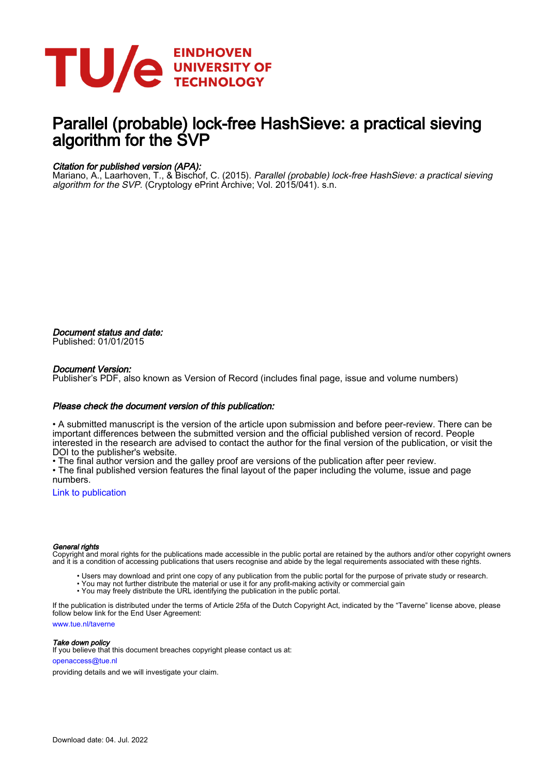

# Parallel (probable) lock-free HashSieve: a practical sieving algorithm for the SVP

### Citation for published version (APA):

Mariano, A., Laarhoven, T., & Bischof, C. (2015). *Parallel (probable) lock-free HashSieve: a practical sieving* algorithm for the SVP. (Cryptology ePrint Archive; Vol. 2015/041). s.n.

Document status and date: Published: 01/01/2015

#### Document Version:

Publisher's PDF, also known as Version of Record (includes final page, issue and volume numbers)

#### Please check the document version of this publication:

• A submitted manuscript is the version of the article upon submission and before peer-review. There can be important differences between the submitted version and the official published version of record. People interested in the research are advised to contact the author for the final version of the publication, or visit the DOI to the publisher's website.

• The final author version and the galley proof are versions of the publication after peer review.

• The final published version features the final layout of the paper including the volume, issue and page numbers.

[Link to publication](https://research.tue.nl/en/publications/6259ab2b-3018-4e4d-9255-0cfbaa85b191)

#### General rights

Copyright and moral rights for the publications made accessible in the public portal are retained by the authors and/or other copyright owners and it is a condition of accessing publications that users recognise and abide by the legal requirements associated with these rights.

- Users may download and print one copy of any publication from the public portal for the purpose of private study or research.
- You may not further distribute the material or use it for any profit-making activity or commercial gain
- You may freely distribute the URL identifying the publication in the public portal.

If the publication is distributed under the terms of Article 25fa of the Dutch Copyright Act, indicated by the "Taverne" license above, please follow below link for the End User Agreement:

www.tue.nl/taverne

**Take down policy**<br>If you believe that this document breaches copyright please contact us at:

openaccess@tue.nl

providing details and we will investigate your claim.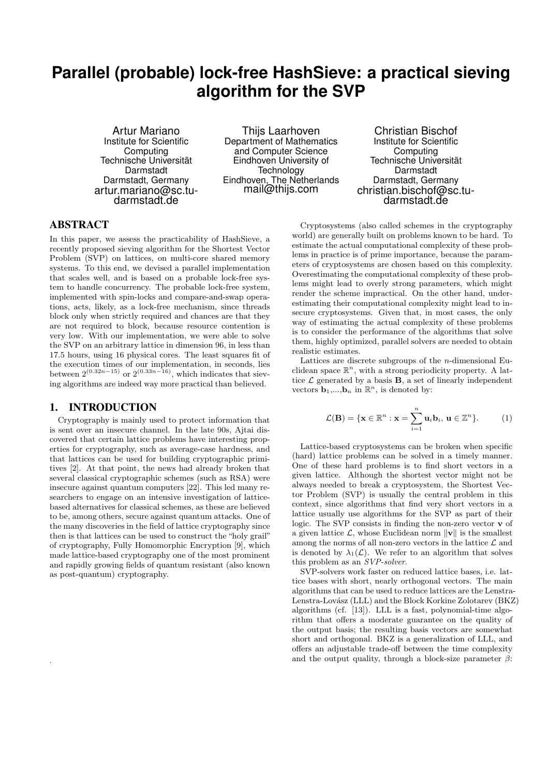# **Parallel (probable) lock-free HashSieve: a practical sieving algorithm for the SVP**

Artur Mariano Institute for Scientific Computing Technische Universität Darmstadt Darmstadt, Germany artur.mariano@sc.tudarmstadt.de

Thijs Laarhoven Department of Mathematics and Computer Science Eindhoven University of **Technology** Eindhoven, The Netherlands mail@thijs.com

Christian Bischof Institute for Scientific **Computing** Technische Universität Darmstadt Darmstadt, Germany christian.bischof@sc.tudarmstadt.de

### ABSTRACT

In this paper, we assess the practicability of HashSieve, a recently proposed sieving algorithm for the Shortest Vector Problem (SVP) on lattices, on multi-core shared memory systems. To this end, we devised a parallel implementation that scales well, and is based on a probable lock-free system to handle concurrency. The probable lock-free system, implemented with spin-locks and compare-and-swap operations, acts, likely, as a lock-free mechanism, since threads block only when strictly required and chances are that they are not required to block, because resource contention is very low. With our implementation, we were able to solve the SVP on an arbitrary lattice in dimension 96, in less than 17.5 hours, using 16 physical cores. The least squares fit of the execution times of our implementation, in seconds, lies between  $2^{(0.32n-15)}$  or  $2^{(0.33n-16)}$ , which indicates that sieving algorithms are indeed way more practical than believed.

#### 1. INTRODUCTION

.

Cryptography is mainly used to protect information that is sent over an insecure channel. In the late 90s, Ajtai discovered that certain lattice problems have interesting properties for cryptography, such as average-case hardness, and that lattices can be used for building cryptographic primitives [2]. At that point, the news had already broken that several classical cryptographic schemes (such as RSA) were insecure against quantum computers [22]. This led many researchers to engage on an intensive investigation of latticebased alternatives for classical schemes, as these are believed to be, among others, secure against quantum attacks. One of the many discoveries in the field of lattice cryptography since then is that lattices can be used to construct the "holy grail" of cryptography, Fully Homomorphic Encryption [9], which made lattice-based cryptography one of the most prominent and rapidly growing fields of quantum resistant (also known as post-quantum) cryptography.

Cryptosystems (also called schemes in the cryptography world) are generally built on problems known to be hard. To estimate the actual computational complexity of these problems in practice is of prime importance, because the parameters of cryptosystems are chosen based on this complexity. Overestimating the computational complexity of these problems might lead to overly strong parameters, which might render the scheme impractical. On the other hand, underestimating their computational complexity might lead to insecure cryptosystems. Given that, in most cases, the only way of estimating the actual complexity of these problems is to consider the performance of the algorithms that solve them, highly optimized, parallel solvers are needed to obtain realistic estimates.

Lattices are discrete subgroups of the  $n$ -dimensional Euclidean space  $\mathbb{R}^n$ , with a strong periodicity property. A lattice  $\mathcal L$  generated by a basis **B**, a set of linearly independent vectors  $\mathbf{b}_1,...,\mathbf{b}_n$  in  $\mathbb{R}^n$ , is denoted by:

$$
\mathcal{L}(\mathbf{B}) = \{\mathbf{x} \in \mathbb{R}^n : \mathbf{x} = \sum_{i=1}^n \mathbf{u}_i \mathbf{b}_i, \mathbf{u} \in \mathbb{Z}^n\}. \tag{1}
$$

Lattice-based cryptosystems can be broken when specific (hard) lattice problems can be solved in a timely manner. One of these hard problems is to find short vectors in a given lattice. Although the shortest vector might not be always needed to break a cryptosystem, the Shortest Vector Problem (SVP) is usually the central problem in this context, since algorithms that find very short vectors in a lattice usually use algorithms for the SVP as part of their logic. The SVP consists in finding the non-zero vector v of a given lattice  $\mathcal{L}$ , whose Euclidean norm  $\|\mathbf{v}\|$  is the smallest among the norms of all non-zero vectors in the lattice  $\mathcal L$  and is denoted by  $\lambda_1(\mathcal{L})$ . We refer to an algorithm that solves this problem as an SVP-solver.

SVP-solvers work faster on reduced lattice bases, i.e. lattice bases with short, nearly orthogonal vectors. The main algorithms that can be used to reduce lattices are the Lenstra-Lenstra-Lovász (LLL) and the Block Korkine Zolotarev (BKZ) algorithms (cf. [13]). LLL is a fast, polynomial-time algorithm that offers a moderate guarantee on the quality of the output basis; the resulting basis vectors are somewhat short and orthogonal. BKZ is a generalization of LLL, and offers an adjustable trade-off between the time complexity and the output quality, through a block-size parameter  $\beta$ :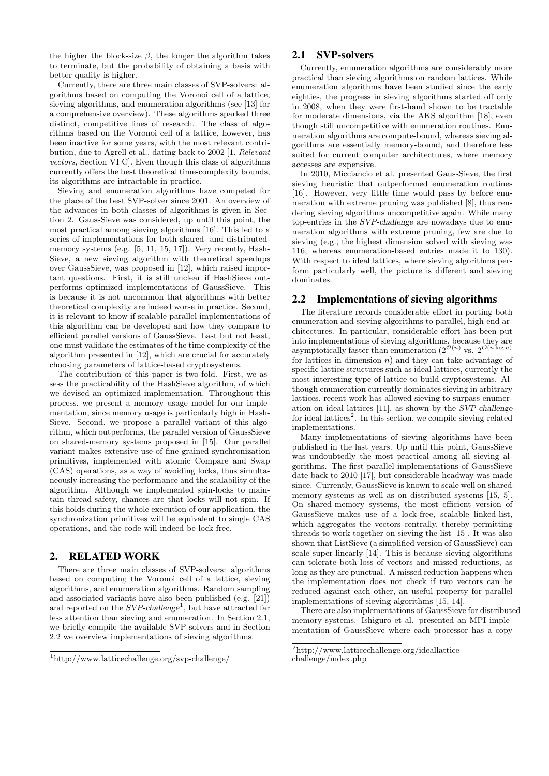the higher the block-size  $\beta$ , the longer the algorithm takes to terminate, but the probability of obtaining a basis with better quality is higher.

Currently, there are three main classes of SVP-solvers: algorithms based on computing the Voronoi cell of a lattice, sieving algorithms, and enumeration algorithms (see [13] for a comprehensive overview). These algorithms sparked three distinct, competitive lines of research. The class of algorithms based on the Voronoi cell of a lattice, however, has been inactive for some years, with the most relevant contribution, due to Agrell et al., dating back to 2002 [1, Relevant vectors, Section VI C]. Even though this class of algorithms currently offers the best theoretical time-complexity bounds, its algorithms are intractable in practice.

Sieving and enumeration algorithms have competed for the place of the best SVP-solver since 2001. An overview of the advances in both classes of algorithms is given in Section 2. GaussSieve was considered, up until this point, the most practical among sieving algorithms [16]. This led to a series of implementations for both shared- and distributedmemory systems (e.g. [5, 11, 15, 17]). Very recently, Hash-Sieve, a new sieving algorithm with theoretical speedups over GaussSieve, was proposed in [12], which raised important questions. First, it is still unclear if HashSieve outperforms optimized implementations of GaussSieve. This is because it is not uncommon that algorithms with better theoretical complexity are indeed worse in practice. Second, it is relevant to know if scalable parallel implementations of this algorithm can be developed and how they compare to efficient parallel versions of GaussSieve. Last but not least, one must validate the estimates of the time complexity of the algorithm presented in [12], which are crucial for accurately choosing parameters of lattice-based cryptosystems.

The contribution of this paper is two-fold. First, we assess the practicability of the HashSieve algorithm, of which we devised an optimized implementation. Throughout this process, we present a memory usage model for our implementation, since memory usage is particularly high in Hash-Sieve. Second, we propose a parallel variant of this algorithm, which outperforms, the parallel version of GaussSieve on shared-memory systems proposed in [15]. Our parallel variant makes extensive use of fine grained synchronization primitives, implemented with atomic Compare and Swap (CAS) operations, as a way of avoiding locks, thus simultaneously increasing the performance and the scalability of the algorithm. Although we implemented spin-locks to maintain thread-safety, chances are that locks will not spin. If this holds during the whole execution of our application, the synchronization primitives will be equivalent to single CAS operations, and the code will indeed be lock-free.

#### 2. RELATED WORK

There are three main classes of SVP-solvers: algorithms based on computing the Voronoi cell of a lattice, sieving algorithms, and enumeration algorithms. Random sampling and associated variants have also been published (e.g. [21]) and reported on the  $SVP$ -challenge<sup>1</sup>, but have attracted far less attention than sieving and enumeration. In Section 2.1, we briefly compile the available SVP-solvers and in Section 2.2 we overview implementations of sieving algorithms.

#### 2.1 SVP-solvers

Currently, enumeration algorithms are considerably more practical than sieving algorithms on random lattices. While enumeration algorithms have been studied since the early eighties, the progress in sieving algorithms started off only in 2008, when they were first-hand shown to be tractable for moderate dimensions, via the AKS algorithm [18], even though still uncompetitive with enumeration routines. Enumeration algorithms are compute-bound, whereas sieving algorithms are essentially memory-bound, and therefore less suited for current computer architectures, where memory accesses are expensive.

In 2010, Micciancio et al. presented GaussSieve, the first sieving heuristic that outperformed enumeration routines [16]. However, very little time would pass by before enumeration with extreme pruning was published [8], thus rendering sieving algorithms uncompetitive again. While many top-entries in the SVP-challenge are nowadays due to enumeration algorithms with extreme pruning, few are due to sieving (e.g., the highest dimension solved with sieving was 116, whereas enumeration-based entries made it to 130). With respect to ideal lattices, where sieving algorithms perform particularly well, the picture is different and sieving dominates.

#### 2.2 Implementations of sieving algorithms

The literature records considerable effort in porting both enumeration and sieving algorithms to parallel, high-end architectures. In particular, considerable effort has been put into implementations of sieving algorithms, because they are asymptotically faster than enumeration  $(2^{\mathcal{O}(n)}$  vs.  $2^{\mathcal{O}(n \log n)}$ for lattices in dimension  $n$ ) and they can take advantage of specific lattice structures such as ideal lattices, currently the most interesting type of lattice to build cryptosystems. Although enumeration currently dominates sieving in arbitrary lattices, recent work has allowed sieving to surpass enumeration on ideal lattices [11], as shown by the SVP-challenge for ideal lattices<sup>2</sup>. In this section, we compile sieving-related implementations.

Many implementations of sieving algorithms have been published in the last years. Up until this point, GaussSieve was undoubtedly the most practical among all sieving algorithms. The first parallel implementations of GaussSieve date back to 2010 [17], but considerable headway was made since. Currently, GaussSieve is known to scale well on sharedmemory systems as well as on distributed systems [15, 5]. On shared-memory systems, the most efficient version of GaussSieve makes use of a lock-free, scalable linked-list, which aggregates the vectors centrally, thereby permitting threads to work together on sieving the list [15]. It was also shown that ListSieve (a simplified version of GaussSieve) can scale super-linearly [14]. This is because sieving algorithms can tolerate both loss of vectors and missed reductions, as long as they are punctual. A missed reduction happens when the implementation does not check if two vectors can be reduced against each other, an useful property for parallel implementations of sieving algorithms [15, 14].

There are also implementations of GaussSieve for distributed memory systems. Ishiguro et al. presented an MPI implementation of GaussSieve where each processor has a copy

<sup>1</sup>http://www.latticechallenge.org/svp-challenge/

<sup>2</sup>http://www.latticechallenge.org/ideallattice-

challenge/index.php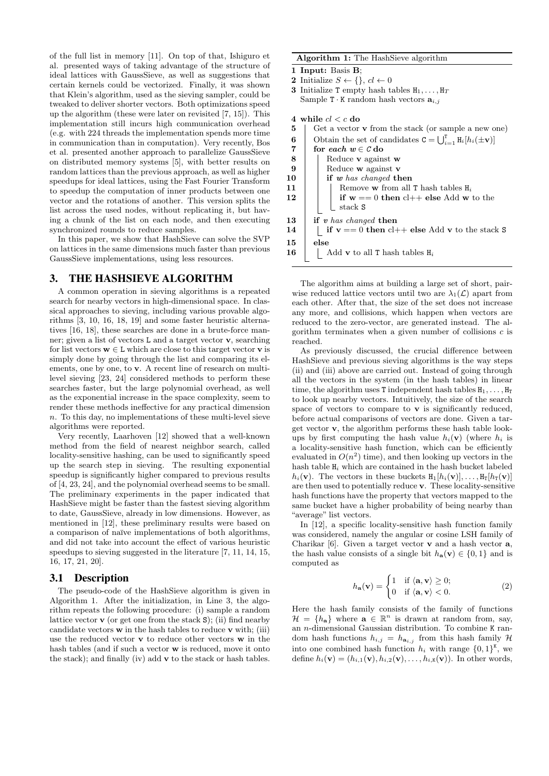of the full list in memory [11]. On top of that, Ishiguro et al. presented ways of taking advantage of the structure of ideal lattices with GaussSieve, as well as suggestions that certain kernels could be vectorized. Finally, it was shown that Klein's algorithm, used as the sieving sampler, could be tweaked to deliver shorter vectors. Both optimizations speed up the algorithm (these were later on revisited [7, 15]). This implementation still incurs high communication overhead (e.g. with 224 threads the implementation spends more time in communication than in computation). Very recently, Bos et al. presented another approach to parallelize GaussSieve on distributed memory systems [5], with better results on random lattices than the previous approach, as well as higher speedups for ideal lattices, using the Fast Fourier Transform to speedup the computation of inner products between one vector and the rotations of another. This version splits the list across the used nodes, without replicating it, but having a chunk of the list on each node, and then executing synchronized rounds to reduce samples.

In this paper, we show that HashSieve can solve the SVP on lattices in the same dimensions much faster than previous GaussSieve implementations, using less resources.

#### 3. THE HASHSIEVE ALGORITHM

A common operation in sieving algorithms is a repeated search for nearby vectors in high-dimensional space. In classical approaches to sieving, including various provable algorithms [3, 10, 16, 18, 19] and some faster heuristic alternatives [16, 18], these searches are done in a brute-force manner; given a list of vectors L and a target vector v, searching for list vectors  $\mathbf{w} \in \mathbf{L}$  which are close to this target vector **v** is simply done by going through the list and comparing its elements, one by one, to v. A recent line of research on multilevel sieving [23, 24] considered methods to perform these searches faster, but the large polynomial overhead, as well as the exponential increase in the space complexity, seem to render these methods ineffective for any practical dimension  $n$ . To this day, no implementations of these multi-level sieve algorithms were reported.

Very recently, Laarhoven [12] showed that a well-known method from the field of nearest neighbor search, called locality-sensitive hashing, can be used to significantly speed up the search step in sieving. The resulting exponential speedup is significantly higher compared to previous results of [4, 23, 24], and the polynomial overhead seems to be small. The preliminary experiments in the paper indicated that HashSieve might be faster than the fastest sieving algorithm to date, GaussSieve, already in low dimensions. However, as mentioned in [12], these preliminary results were based on a comparison of naïve implementations of both algorithms, and did not take into account the effect of various heuristic speedups to sieving suggested in the literature [7, 11, 14, 15, 16, 17, 21, 20].

#### 3.1 Description

The pseudo-code of the HashSieve algorithm is given in Algorithm 1. After the initialization, in Line 3, the algorithm repeats the following procedure: (i) sample a random lattice vector  $\bf{v}$  (or get one from the stack  $\bf{S}$ ); (ii) find nearby candidate vectors  $\bf{w}$  in the hash tables to reduce  $\bf{v}$  with; (iii) use the reduced vector v to reduce other vectors w in the hash tables (and if such a vector w is reduced, move it onto the stack); and finally (iv) add v to the stack or hash tables.

#### Algorithm 1: The HashSieve algorithm

1 Input: Basis B;

- 2 Initialize  $S \leftarrow \{\}, cl \leftarrow 0$
- **3** Initialize T empty hash tables  $H_1, \ldots, H_T$ Sample T  $\cdot$  K random hash vectors  $\mathbf{a}_{i,j}$

4 while  $cl < c$  do

| 5              | Get a vector $\bf{v}$ from the stack (or sample a new one)                    |
|----------------|-------------------------------------------------------------------------------|
| 6              | Obtain the set of candidates $C = \bigcup_{i=1}^{T} H_i[h_i(\pm \mathbf{v})]$ |
| $\overline{7}$ | for each $w \in C$ do                                                         |
| $\bf 8$        | Reduce <b>v</b> against <b>w</b>                                              |
| 9              | Reduce $\bf{w}$ against $\bf{v}$                                              |
| 10             | if $w$ has changed then                                                       |
| 11             | Remove <b>w</b> from all <b>T</b> hash tables $H_i$                           |
| 12             | if $w == 0$ then $cl++$ else Add w to the                                     |
|                | stack S                                                                       |
| 13             | if $v$ has changed then                                                       |
| 14             | if $v == 0$ then $cl++$ else Add v to the stack S                             |
| 15             | else                                                                          |
| 16             | Add <b>v</b> to all <b>T</b> hash tables $H_i$                                |
|                |                                                                               |

The algorithm aims at building a large set of short, pairwise reduced lattice vectors until two are  $\lambda_1(\mathcal{L})$  apart from each other. After that, the size of the set does not increase any more, and collisions, which happen when vectors are reduced to the zero-vector, are generated instead. The algorithm terminates when a given number of collisions  $c$  is reached.

As previously discussed, the crucial difference between HashSieve and previous sieving algorithms is the way steps (ii) and (iii) above are carried out. Instead of going through all the vectors in the system (in the hash tables) in linear time, the algorithm uses T independent hash tables  $H_1, \ldots, H_T$ to look up nearby vectors. Intuitively, the size of the search space of vectors to compare to  $\bf{v}$  is significantly reduced, before actual comparisons of vectors are done. Given a target vector v, the algorithm performs these hash table lookups by first computing the hash value  $h_i(\mathbf{v})$  (where  $h_i$  is a locality-sensitive hash function, which can be efficiently evaluated in  $O(n^2)$  time), and then looking up vectors in the hash table  $H_i$  which are contained in the hash bucket labeled  $h_i(\mathbf{v})$ . The vectors in these buckets  $H_1[h_i(\mathbf{v})], \ldots, H_T[h_T(\mathbf{v})]$ are then used to potentially reduce v. These locality-sensitive hash functions have the property that vectors mapped to the same bucket have a higher probability of being nearby than "average" list vectors.

In [12], a specific locality-sensitive hash function family was considered, namely the angular or cosine LSH family of Charikar  $[6]$ . Given a target vector **v** and a hash vector **a**, the hash value consists of a single bit  $h_{a}(v) \in \{0, 1\}$  and is computed as

$$
h_{\mathbf{a}}(\mathbf{v}) = \begin{cases} 1 & \text{if } \langle \mathbf{a}, \mathbf{v} \rangle \ge 0; \\ 0 & \text{if } \langle \mathbf{a}, \mathbf{v} \rangle < 0. \end{cases}
$$
 (2)

Here the hash family consists of the family of functions  $\mathcal{H} = \{h_{\mathbf{a}}\}$  where  $\mathbf{a} \in \mathbb{R}^n$  is drawn at random from, say, an n-dimensional Gaussian distribution. To combine K random hash functions  $h_{i,j} = h_{a_{i,j}}$  from this hash family H into one combined hash function  $h_i$  with range  $\{0,1\}^K$ , we define  $h_i(\mathbf{v}) = (h_{i,1}(\mathbf{v}), h_{i,2}(\mathbf{v}), \ldots, h_{i,K}(\mathbf{v}))$ . In other words,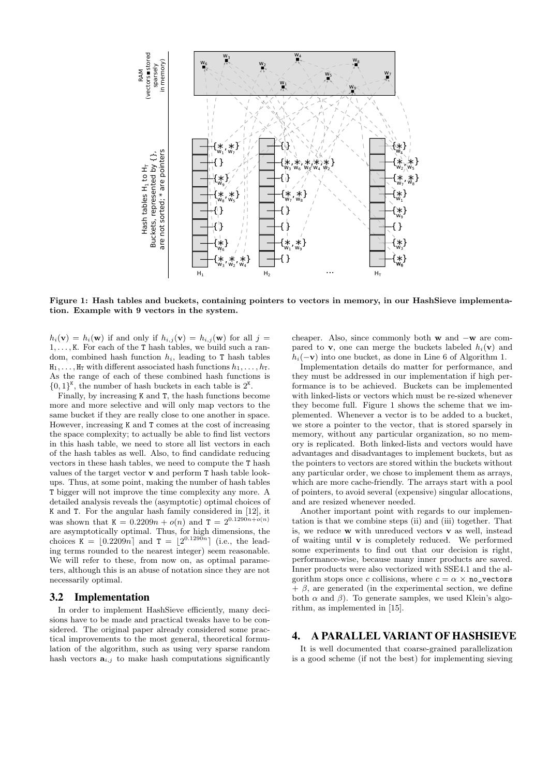

Figure 1: Hash tables and buckets, containing pointers to vectors in memory, in our HashSieve implementation. Example with 9 vectors in the system.

 $h_i(\mathbf{v}) = h_i(\mathbf{w})$  if and only if  $h_{i,j}(\mathbf{v}) = h_{i,j}(\mathbf{w})$  for all  $j =$  $1, \ldots, K$ . For each of the T hash tables, we build such a random, combined hash function  $h_i$ , leading to T hash tables  $H_1, \ldots, H_T$  with different associated hash functions  $h_1, \ldots, h_T$ . As the range of each of these combined hash functions is  $\{0,1\}^K$ , the number of hash buckets in each table is  $2^K$ .

Finally, by increasing K and T, the hash functions become more and more selective and will only map vectors to the same bucket if they are really close to one another in space. However, increasing K and T comes at the cost of increasing the space complexity; to actually be able to find list vectors in this hash table, we need to store all list vectors in each of the hash tables as well. Also, to find candidate reducing vectors in these hash tables, we need to compute the T hash values of the target vector v and perform T hash table lookups. Thus, at some point, making the number of hash tables T bigger will not improve the time complexity any more. A detailed analysis reveals the (asymptotic) optimal choices of K and T. For the angular hash family considered in [12], it was shown that  $K = 0.2209n + o(n)$  and  $T = 2^{0.1290n + o(n)}$ are asymptotically optimal. Thus, for high dimensions, the choices  $K = \lfloor 0.2209n \rfloor$  and  $T = \lfloor 2^{0.1290n} \rfloor$  (i.e., the leading terms rounded to the nearest integer) seem reasonable. We will refer to these, from now on, as optimal parameters, although this is an abuse of notation since they are not necessarily optimal.

#### 3.2 Implementation

In order to implement HashSieve efficiently, many decisions have to be made and practical tweaks have to be considered. The original paper already considered some practical improvements to the most general, theoretical formulation of the algorithm, such as using very sparse random hash vectors  $a_{i,j}$  to make hash computations significantly cheaper. Also, since commonly both w and −w are compared to **v**, one can merge the buckets labeled  $h_i(\mathbf{v})$  and  $h_i(-\mathbf{v})$  into one bucket, as done in Line 6 of Algorithm 1.

Implementation details do matter for performance, and they must be addressed in our implementation if high performance is to be achieved. Buckets can be implemented with linked-lists or vectors which must be re-sized whenever they become full. Figure 1 shows the scheme that we implemented. Whenever a vector is to be added to a bucket, we store a pointer to the vector, that is stored sparsely in memory, without any particular organization, so no memory is replicated. Both linked-lists and vectors would have advantages and disadvantages to implement buckets, but as the pointers to vectors are stored within the buckets without any particular order, we chose to implement them as arrays, which are more cache-friendly. The arrays start with a pool of pointers, to avoid several (expensive) singular allocations, and are resized whenever needed.

Another important point with regards to our implementation is that we combine steps (ii) and (iii) together. That is, we reduce  $w$  with unreduced vectors  $v$  as well, instead of waiting until v is completely reduced. We performed some experiments to find out that our decision is right, performance-wise, because many inner products are saved. Inner products were also vectorized with SSE4.1 and the algorithm stops once c collisions, where  $c = \alpha \times \text{no\_vectors}$  $+ \beta$ , are generated (in the experimental section, we define both  $\alpha$  and  $\beta$ ). To generate samples, we used Klein's algorithm, as implemented in [15].

#### 4. A PARALLEL VARIANT OF HASHSIEVE

It is well documented that coarse-grained parallelization is a good scheme (if not the best) for implementing sieving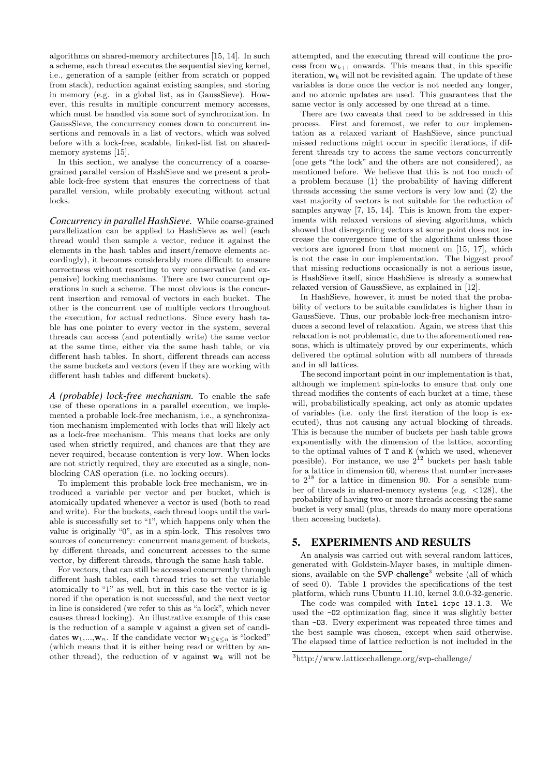algorithms on shared-memory architectures [15, 14]. In such a scheme, each thread executes the sequential sieving kernel, i.e., generation of a sample (either from scratch or popped from stack), reduction against existing samples, and storing in memory (e.g. in a global list, as in GaussSieve). However, this results in multiple concurrent memory accesses, which must be handled via some sort of synchronization. In GaussSieve, the concurrency comes down to concurrent insertions and removals in a list of vectors, which was solved before with a lock-free, scalable, linked-list list on sharedmemory systems [15].

In this section, we analyse the concurrency of a coarsegrained parallel version of HashSieve and we present a probable lock-free system that ensures the correctness of that parallel version, while probably executing without actual locks.

*Concurrency in parallel HashSieve.* While coarse-grained parallelization can be applied to HashSieve as well (each thread would then sample a vector, reduce it against the elements in the hash tables and insert/remove elements accordingly), it becomes considerably more difficult to ensure correctness without resorting to very conservative (and expensive) locking mechanisms. There are two concurrent operations in such a scheme. The most obvious is the concurrent insertion and removal of vectors in each bucket. The other is the concurrent use of multiple vectors throughout the execution, for actual reductions. Since every hash table has one pointer to every vector in the system, several threads can access (and potentially write) the same vector at the same time, either via the same hash table, or via different hash tables. In short, different threads can access the same buckets and vectors (even if they are working with different hash tables and different buckets).

*A (probable) lock-free mechanism.* To enable the safe use of these operations in a parallel execution, we implemented a probable lock-free mechanism, i.e., a synchronization mechanism implemented with locks that will likely act as a lock-free mechanism. This means that locks are only used when strictly required, and chances are that they are never required, because contention is very low. When locks are not strictly required, they are executed as a single, nonblocking CAS operation (i.e. no locking occurs).

To implement this probable lock-free mechanism, we introduced a variable per vector and per bucket, which is atomically updated whenever a vector is used (both to read and write). For the buckets, each thread loops until the variable is successfully set to "1", which happens only when the value is originally "0", as in a spin-lock. This resolves two sources of concurrency: concurrent management of buckets, by different threads, and concurrent accesses to the same vector, by different threads, through the same hash table.

For vectors, that can still be accessed concurrently through different hash tables, each thread tries to set the variable atomically to "1" as well, but in this case the vector is ignored if the operation is not successful, and the next vector in line is considered (we refer to this as "a lock", which never causes thread locking). An illustrative example of this case is the reduction of a sample v against a given set of candidates  $\mathbf{w}_1,...,\mathbf{w}_n$ . If the candidate vector  $\mathbf{w}_1\leq k\leq n$  is "locked" (which means that it is either being read or written by another thread), the reduction of **v** against  $w_k$  will not be

attempted, and the executing thread will continue the process from  $w_{k+1}$  onwards. This means that, in this specific iteration,  $\mathbf{w}_k$  will not be revisited again. The update of these variables is done once the vector is not needed any longer, and no atomic updates are used. This guarantees that the same vector is only accessed by one thread at a time.

There are two caveats that need to be addressed in this process. First and foremost, we refer to our implementation as a relaxed variant of HashSieve, since punctual missed reductions might occur in specific iterations, if different threads try to access the same vectors concurrently (one gets "the lock" and the others are not considered), as mentioned before. We believe that this is not too much of a problem because (1) the probability of having different threads accessing the same vectors is very low and (2) the vast majority of vectors is not suitable for the reduction of samples anyway [7, 15, 14]. This is known from the experiments with relaxed versions of sieving algorithms, which showed that disregarding vectors at some point does not increase the convergence time of the algorithms unless those vectors are ignored from that moment on [15, 17], which is not the case in our implementation. The biggest proof that missing reductions occasionally is not a serious issue, is HashSieve itself, since HashSieve is already a somewhat relaxed version of GaussSieve, as explained in [12].

In HashSieve, however, it must be noted that the probability of vectors to be suitable candidates is higher than in GaussSieve. Thus, our probable lock-free mechanism introduces a second level of relaxation. Again, we stress that this relaxation is not problematic, due to the aforementioned reasons, which is ultimately proved by our experiments, which delivered the optimal solution with all numbers of threads and in all lattices.

The second important point in our implementation is that, although we implement spin-locks to ensure that only one thread modifies the contents of each bucket at a time, these will, probabilistically speaking, act only as atomic updates of variables (i.e. only the first iteration of the loop is executed), thus not causing any actual blocking of threads. This is because the number of buckets per hash table grows exponentially with the dimension of the lattice, according to the optimal values of T and K (which we used, whenever possible). For instance, we use  $2^{12}$  buckets per hash table for a lattice in dimension 60, whereas that number increases to  $2^{18}$  for a lattice in dimension 90. For a sensible number of threads in shared-memory systems (e.g. <128), the probability of having two or more threads accessing the same bucket is very small (plus, threads do many more operations then accessing buckets).

#### 5. EXPERIMENTS AND RESULTS

An analysis was carried out with several random lattices, generated with Goldstein-Mayer bases, in multiple dimensions, available on the  $SVP$ -challenge<sup>3</sup> website (all of which of seed 0). Table 1 provides the specifications of the test platform, which runs Ubuntu 11.10, kernel 3.0.0-32-generic.

The code was compiled with Intel icpc 13.1.3. We used the -O2 optimization flag, since it was slightly better than -O3. Every experiment was repeated three times and the best sample was chosen, except when said otherwise. The elapsed time of lattice reduction is not included in the

 $^3$ http://www.latticechallenge.org/svp-challenge/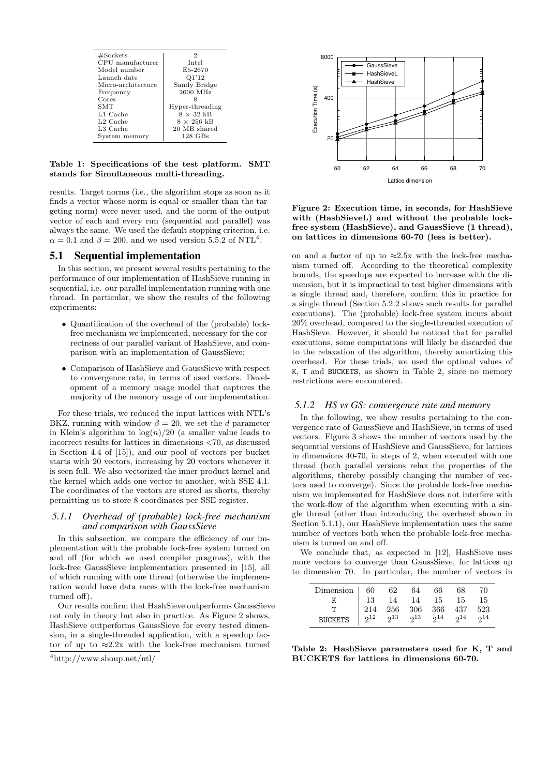| #Sockets             | 2                 |
|----------------------|-------------------|
| CPU manufacturer     | Intel             |
| Model number         | E5-2670           |
| Launch date          | Q1'12             |
| Micro-architecture   | Sandy Bridge      |
| Frequency            | 2600 MHz          |
| Cores                |                   |
| SMT                  | Hyper-threading   |
| L1 Cache             | $8 \times 32$ kB  |
| L <sub>2</sub> Cache | $8 \times 256$ kB |
| L3 Cache             | 20 MB shared      |
| System memory        | $128$ GBs         |

Table 1: Specifications of the test platform. SMT stands for Simultaneous multi-threading.

results. Target norms (i.e., the algorithm stops as soon as it finds a vector whose norm is equal or smaller than the targeting norm) were never used, and the norm of the output vector of each and every run (sequential and parallel) was always the same. We used the default stopping criterion, i.e.  $\alpha = 0.1$  and  $\beta = 200$ , and we used version 5.5.2 of NTL<sup>4</sup>.

#### 5.1 Sequential implementation

In this section, we present several results pertaining to the performance of our implementation of HashSieve running in sequential, i.e. our parallel implementation running with one thread. In particular, we show the results of the following experiments:

- Quantification of the overhead of the (probable) lockfree mechanism we implemented, necessary for the correctness of our parallel variant of HashSieve, and comparison with an implementation of GaussSieve;
- Comparison of HashSieve and GaussSieve with respect to convergence rate, in terms of used vectors. Development of a memory usage model that captures the majority of the memory usage of our implementation.

For these trials, we reduced the input lattices with NTL's BKZ, running with window  $\beta = 20$ , we set the d parameter in Klein's algorithm to  $\log(n)/20$  (a smaller value leads to incorrect results for lattices in dimensions <70, as discussed in Section 4.4 of [15]), and our pool of vectors per bucket starts with 20 vectors, increasing by 20 vectors whenever it is seen full. We also vectorized the inner product kernel and the kernel which adds one vector to another, with SSE 4.1. The coordinates of the vectors are stored as shorts, thereby permitting us to store 8 coordinates per SSE register.

#### *5.1.1 Overhead of (probable) lock-free mechanism and comparison with GaussSieve*

In this subsection, we compare the efficiency of our implementation with the probable lock-free system turned on and off (for which we used compiler pragmas), with the lock-free GaussSieve implementation presented in [15], all of which running with one thread (otherwise the implementation would have data races with the lock-free mechanism turned off).

Our results confirm that HashSieve outperforms GaussSieve not only in theory but also in practice. As Figure 2 shows, HashSieve outperforms GaussSieve for every tested dimension, in a single-threaded application, with a speedup factor of up to  $\approx 2.2x$  with the lock-free mechanism turned



Figure 2: Execution time, in seconds, for HashSieve with (HashSieveL) and without the probable lockfree system (HashSieve), and GaussSieve (1 thread), on lattices in dimensions 60-70 (less is better).

on and a factor of up to  $\approx 2.5x$  with the lock-free mechanism turned off. According to the theoretical complexity bounds, the speedups are expected to increase with the dimension, but it is impractical to test higher dimensions with a single thread and, therefore, confirm this in practice for a single thread (Section 5.2.2 shows such results for parallel executions). The (probable) lock-free system incurs about 20% overhead, compared to the single-threaded execution of HashSieve. However, it should be noticed that for parallel executions, some computations will likely be discarded due to the relaxation of the algorithm, thereby amortizing this overhead. For these trials, we used the optimal values of K, T and BUCKETS, as shown in Table 2, since no memory restrictions were encountered.

#### *5.1.2 HS vs GS: convergence rate and memory*

In the following, we show results pertaining to the convergence rate of GaussSieve and HashSieve, in terms of used vectors. Figure 3 shows the number of vectors used by the sequential versions of HashSieve and GaussSieve, for lattices in dimensions 40-70, in steps of 2, when executed with one thread (both parallel versions relax the properties of the algorithms, thereby possibly changing the number of vectors used to converge). Since the probable lock-free mechanism we implemented for HashSieve does not interfere with the work-flow of the algorithm when executing with a single thread (other than introducing the overhead shown in Section 5.1.1), our HashSieve implementation uses the same number of vectors both when the probable lock-free mechanism is turned on and off.

We conclude that, as expected in [12], HashSieve uses more vectors to converge than GaussSieve, for lattices up to dimension 70. In particular, the number of vectors in

| $\begin{tabular}{l cccccc} Dimension & 60 & 62 & 64 & 66 & 68 & 70\\ \hline K & 13 & 14 & 14 & 15 & 15 & 15\\ \hline T & 214 & 256 & 306 & 366 & 437 & 523\\ BUCKETS & 2^{12} & 2^{13} & 2^{13} & 2^{14} & 2^{14} & 2^{14} \end{tabular}$ |  |  |  |
|-------------------------------------------------------------------------------------------------------------------------------------------------------------------------------------------------------------------------------------------|--|--|--|
|                                                                                                                                                                                                                                           |  |  |  |
|                                                                                                                                                                                                                                           |  |  |  |
|                                                                                                                                                                                                                                           |  |  |  |

Table 2: HashSieve parameters used for K, T and BUCKETS for lattices in dimensions 60-70.

<sup>4</sup>http://www.shoup.net/ntl/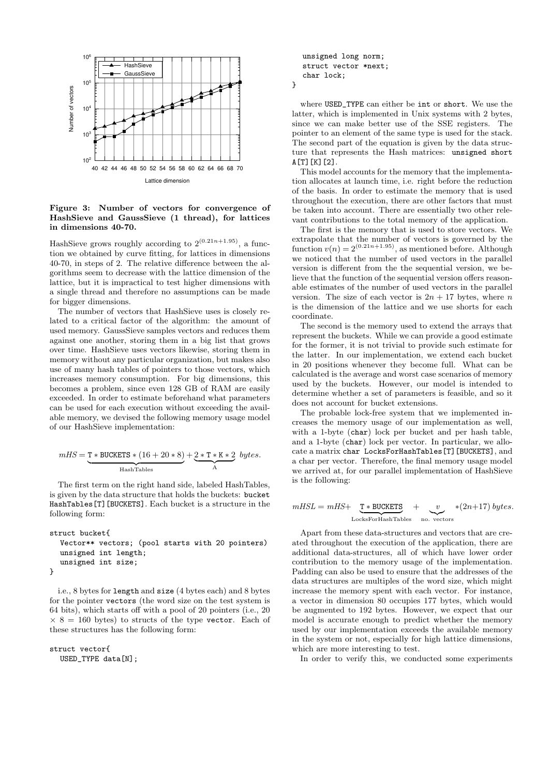

Figure 3: Number of vectors for convergence of HashSieve and GaussSieve (1 thread), for lattices in dimensions 40-70.

HashSieve grows roughly according to  $2^{(0.21n+1.95)}$ , a function we obtained by curve fitting, for lattices in dimensions 40-70, in steps of 2. The relative difference between the algorithms seem to decrease with the lattice dimension of the lattice, but it is impractical to test higher dimensions with a single thread and therefore no assumptions can be made for bigger dimensions.

The number of vectors that HashSieve uses is closely related to a critical factor of the algorithm: the amount of used memory. GaussSieve samples vectors and reduces them against one another, storing them in a big list that grows over time. HashSieve uses vectors likewise, storing them in memory without any particular organization, but makes also use of many hash tables of pointers to those vectors, which increases memory consumption. For big dimensions, this becomes a problem, since even 128 GB of RAM are easily exceeded. In order to estimate beforehand what parameters can be used for each execution without exceeding the available memory, we devised the following memory usage model of our HashSieve implementation:

$$
mHS = \underbrace{T*BUCKETS*(16+20*8)}_{\text{HashTables}} + \underbrace{2*T*K*2}_{\text{A}} bytes.
$$

The first term on the right hand side, labeled HashTables, is given by the data structure that holds the buckets: bucket HashTables[T][BUCKETS]. Each bucket is a structure in the following form:

```
struct bucket{
  Vector** vectors; (pool starts with 20 pointers)
  unsigned int length;
  unsigned int size;
}
```
i.e., 8 bytes for length and size (4 bytes each) and 8 bytes for the pointer vectors (the word size on the test system is 64 bits), which starts off with a pool of 20 pointers (i.e., 20  $\times$  8 = 160 bytes) to structs of the type vector. Each of these structures has the following form:

```
struct vector{
  USED_TYPE data[N];
```
unsigned long norm; struct vector \*next; char lock;

}

where USED\_TYPE can either be int or short. We use the latter, which is implemented in Unix systems with 2 bytes, since we can make better use of the SSE registers. The pointer to an element of the same type is used for the stack. The second part of the equation is given by the data structure that represents the Hash matrices: unsigned short  $A[T]$ [K][2].

This model accounts for the memory that the implementation allocates at launch time, i.e. right before the reduction of the basis. In order to estimate the memory that is used throughout the execution, there are other factors that must be taken into account. There are essentially two other relevant contributions to the total memory of the application.

The first is the memory that is used to store vectors. We extrapolate that the number of vectors is governed by the function  $v(n) = 2^{(0.21n+1.95)}$ , as mentioned before. Although we noticed that the number of used vectors in the parallel version is different from the the sequential version, we believe that the function of the sequential version offers reasonable estimates of the number of used vectors in the parallel version. The size of each vector is  $2n + 17$  bytes, where n is the dimension of the lattice and we use shorts for each coordinate.

The second is the memory used to extend the arrays that represent the buckets. While we can provide a good estimate for the former, it is not trivial to provide such estimate for the latter. In our implementation, we extend each bucket in 20 positions whenever they become full. What can be calculated is the average and worst case scenarios of memory used by the buckets. However, our model is intended to determine whether a set of parameters is feasible, and so it does not account for bucket extensions.

The probable lock-free system that we implemented increases the memory usage of our implementation as well, with a 1-byte (char) lock per bucket and per hash table, and a 1-byte (char) lock per vector. In particular, we allocate a matrix char LocksForHashTables[T][BUCKETS], and a char per vector. Therefore, the final memory usage model we arrived at, for our parallel implementation of HashSieve is the following:

$$
mHSL = mHS + \underbrace{\mathbf{T} * \text{BUCKETS}}_{\text{LocksForHashTables}} + \underbrace{v}_{\text{no. vectors}} * (2n+17) bytes.
$$

Apart from these data-structures and vectors that are created throughout the execution of the application, there are additional data-structures, all of which have lower order contribution to the memory usage of the implementation. Padding can also be used to ensure that the addresses of the data structures are multiples of the word size, which might increase the memory spent with each vector. For instance, a vector in dimension 80 occupies 177 bytes, which would be augmented to 192 bytes. However, we expect that our model is accurate enough to predict whether the memory used by our implementation exceeds the available memory in the system or not, especially for high lattice dimensions, which are more interesting to test.

In order to verify this, we conducted some experiments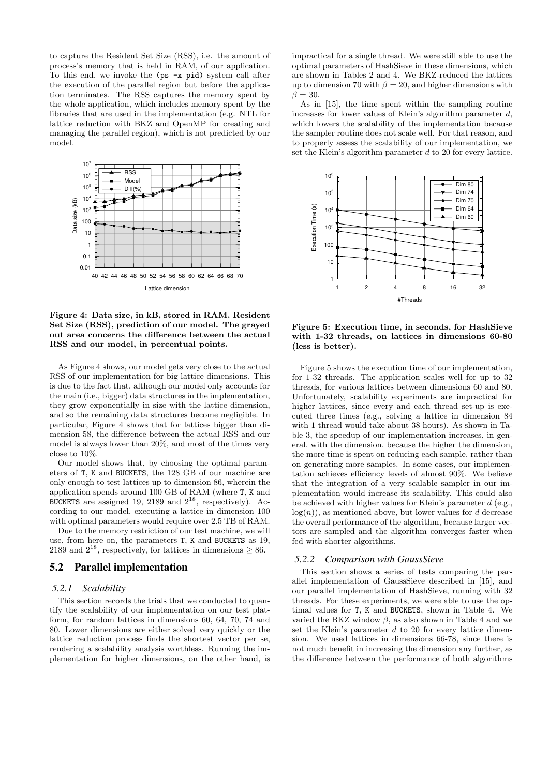to capture the Resident Set Size (RSS), i.e. the amount of process's memory that is held in RAM, of our application. To this end, we invoke the (ps -x pid) system call after the execution of the parallel region but before the application terminates. The RSS captures the memory spent by the whole application, which includes memory spent by the libraries that are used in the implementation (e.g. NTL for lattice reduction with BKZ and OpenMP for creating and managing the parallel region), which is not predicted by our model.



Figure 4: Data size, in kB, stored in RAM. Resident Set Size (RSS), prediction of our model. The grayed out area concerns the difference between the actual RSS and our model, in percentual points.

As Figure 4 shows, our model gets very close to the actual RSS of our implementation for big lattice dimensions. This is due to the fact that, although our model only accounts for the main (i.e., bigger) data structures in the implementation, they grow exponentially in size with the lattice dimension, and so the remaining data structures become negligible. In particular, Figure 4 shows that for lattices bigger than dimension 58, the difference between the actual RSS and our model is always lower than 20%, and most of the times very close to 10%.

Our model shows that, by choosing the optimal parameters of T, K and BUCKETS, the 128 GB of our machine are only enough to test lattices up to dimension 86, wherein the application spends around 100 GB of RAM (where T, K and BUCKETS are assigned 19, 2189 and  $2^{18}$ , respectively). According to our model, executing a lattice in dimension 100 with optimal parameters would require over 2.5 TB of RAM.

Due to the memory restriction of our test machine, we will use, from here on, the parameters T, K and BUCKETS as 19, 2189 and  $2^{18}$ , respectively, for lattices in dimensions  $\geq 86$ .

#### 5.2 Parallel implementation

#### *5.2.1 Scalability*

This section records the trials that we conducted to quantify the scalability of our implementation on our test platform, for random lattices in dimensions 60, 64, 70, 74 and 80. Lower dimensions are either solved very quickly or the lattice reduction process finds the shortest vector per se, rendering a scalability analysis worthless. Running the implementation for higher dimensions, on the other hand, is

impractical for a single thread. We were still able to use the optimal parameters of HashSieve in these dimensions, which are shown in Tables 2 and 4. We BKZ-reduced the lattices up to dimension 70 with  $\beta = 20$ , and higher dimensions with  $\beta = 30.$ 

As in [15], the time spent within the sampling routine increases for lower values of Klein's algorithm parameter d, which lowers the scalability of the implementation because the sampler routine does not scale well. For that reason, and to properly assess the scalability of our implementation, we set the Klein's algorithm parameter d to 20 for every lattice.



Figure 5: Execution time, in seconds, for HashSieve with 1-32 threads, on lattices in dimensions 60-80 (less is better).

Figure 5 shows the execution time of our implementation, for 1-32 threads. The application scales well for up to 32 threads, for various lattices between dimensions 60 and 80. Unfortunately, scalability experiments are impractical for higher lattices, since every and each thread set-up is executed three times (e.g., solving a lattice in dimension 84 with 1 thread would take about 38 hours). As shown in Table 3, the speedup of our implementation increases, in general, with the dimension, because the higher the dimension, the more time is spent on reducing each sample, rather than on generating more samples. In some cases, our implementation achieves efficiency levels of almost 90%. We believe that the integration of a very scalable sampler in our implementation would increase its scalability. This could also be achieved with higher values for Klein's parameter  $d$  (e.g.,  $log(n)$ , as mentioned above, but lower values for d decrease the overall performance of the algorithm, because larger vectors are sampled and the algorithm converges faster when fed with shorter algorithms.

#### *5.2.2 Comparison with GaussSieve*

This section shows a series of tests comparing the parallel implementation of GaussSieve described in [15], and our parallel implementation of HashSieve, running with 32 threads. For these experiments, we were able to use the optimal values for T, K and BUCKETS, shown in Table 4. We varied the BKZ window  $\beta$ , as also shown in Table 4 and we set the Klein's parameter  $d$  to 20 for every lattice dimension. We used lattices in dimensions 66-78, since there is not much benefit in increasing the dimension any further, as the difference between the performance of both algorithms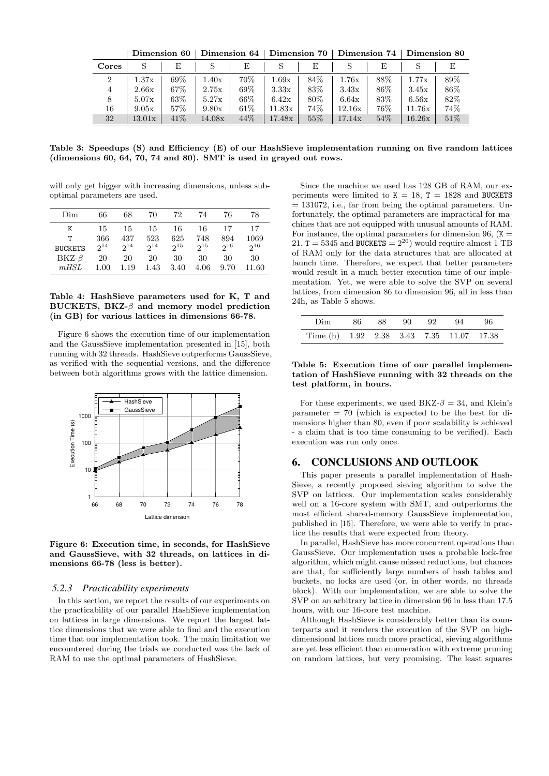|                | Dimension 60 |      | Dimension 64 |      | Dimension 70 |      | Dimension 74 |      | Dimension 80 |      |
|----------------|--------------|------|--------------|------|--------------|------|--------------|------|--------------|------|
| <b>Cores</b>   | S            | E    |              | E    |              | Е    |              | E    |              |      |
| $\overline{2}$ | 1.37x        | 69%  | 1.40x        | 70%  | 1.69x        | 84\% | 1.76x        | 88\% | 1.77x        | 89%  |
| $\overline{4}$ | 2.66x        | 67\% | 2.75x        | 69%  | 3.33x        | 83\% | 3.43x        | 86\% | 3.45x        | 86\% |
| 8              | 5.07x        | 63%  | 5.27x        | 66\% | 6.42x        | 80\% | 6.64x        | 83%  | 6.56x        | 82\% |
| 16             | 9.05x        | 57%  | 9.80x        | 61\% | 11.83x       | 74%  | 12.16x       | 76%  | 11.76x       | 74\% |
| 32             | 13.01x       | 41\% | 14.08x       | 44\% | 17.48x       | 55%  | 17.14x       | 54%  | 16.26x       | 51\% |

Table 3: Speedups (S) and Efficiency (E) of our HashSieve implementation running on five random lattices (dimensions 60, 64, 70, 74 and 80). SMT is used in grayed out rows.

will only get bigger with increasing dimensions, unless suboptimal parameters are used.

| Dim            | 66       | 68       | 70       | 72       | 74       | 76       | 78       |
|----------------|----------|----------|----------|----------|----------|----------|----------|
| Κ              | 15       | 15       | 15       | 16       | 16       | 17       | 17       |
| т              | 366      | 437      | 523      | 625      | 748      | 894      | 1069     |
| <b>BUCKETS</b> | $2^{14}$ | $2^{14}$ | $2^{14}$ | $2^{15}$ | $2^{15}$ | $2^{16}$ | $2^{16}$ |
| $BKZ-\beta$    | 20       | 20       | 20       | 30       | 30       | 30       | 30       |
| mHSL           | 1.00     | 1.19     | 1.43     | 3.40     | 4.06     | 9.70     | 11.60    |

#### Table 4: HashSieve parameters used for K, T and BUCKETS, BKZ- $\beta$  and memory model prediction (in GB) for various lattices in dimensions 66-78.

Figure 6 shows the execution time of our implementation and the GaussSieve implementation presented in [15], both running with 32 threads. HashSieve outperforms GaussSieve, as verified with the sequential versions, and the difference between both algorithms grows with the lattice dimension.



Figure 6: Execution time, in seconds, for HashSieve and GaussSieve, with 32 threads, on lattices in dimensions 66-78 (less is better).

#### *5.2.3 Practicability experiments*

In this section, we report the results of our experiments on the practicability of our parallel HashSieve implementation on lattices in large dimensions. We report the largest lattice dimensions that we were able to find and the execution time that our implementation took. The main limitation we encountered during the trials we conducted was the lack of RAM to use the optimal parameters of HashSieve.

Since the machine we used has 128 GB of RAM, our experiments were limited to  $K = 18$ ,  $T = 1828$  and BUCKETS  $= 131072$ , i.e., far from being the optimal parameters. Unfortunately, the optimal parameters are impractical for machines that are not equipped with unusual amounts of RAM. For instance, the optimal parameters for dimension 96,  $(K =$ 21,  $T = 5345$  and BUCKETS =  $2^{20}$ ) would require almost 1 TB of RAM only for the data structures that are allocated at launch time. Therefore, we expect that better parameters would result in a much better execution time of our implementation. Yet, we were able to solve the SVP on several lattices, from dimension 86 to dimension 96, all in less than 24h, as Table 5 shows.

|                                          |  |  | Dim 86 88 90 92 94 96 |  |
|------------------------------------------|--|--|-----------------------|--|
| Time (h) 1.92 2.38 3.43 7.35 11.07 17.38 |  |  |                       |  |

#### Table 5: Execution time of our parallel implementation of HashSieve running with 32 threads on the test platform, in hours.

For these experiments, we used BKZ- $\beta = 34$ , and Klein's  $parameter = 70$  (which is expected to be the best for dimensions higher than 80, even if poor scalability is achieved - a claim that is too time consuming to be verified). Each execution was run only once.

### 6. CONCLUSIONS AND OUTLOOK

This paper presents a parallel implementation of Hash-Sieve, a recently proposed sieving algorithm to solve the SVP on lattices. Our implementation scales considerably well on a 16-core system with SMT, and outperforms the most efficient shared-memory GaussSieve implementation, published in [15]. Therefore, we were able to verify in practice the results that were expected from theory.

In parallel, HashSieve has more concurrent operations than GaussSieve. Our implementation uses a probable lock-free algorithm, which might cause missed reductions, but chances are that, for sufficiently large numbers of hash tables and buckets, no locks are used (or, in other words, no threads block). With our implementation, we are able to solve the SVP on an arbitrary lattice in dimension 96 in less than 17.5 hours, with our 16-core test machine.

Although HashSieve is considerably better than its counterparts and it renders the execution of the SVP on highdimensional lattices much more practical, sieving algorithms are yet less efficient than enumeration with extreme pruning on random lattices, but very promising. The least squares